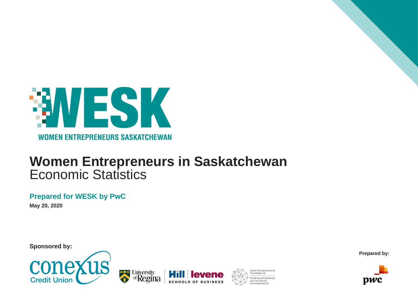

### **Women Entrepreneurs in Saskatchewan** Economic Statistics

**THE University** 

<sup>of</sup>Regina

### **Prepared for WESK by PwC**

**May 20, 2020**

**Sponsored by:**



**Prepared by:**



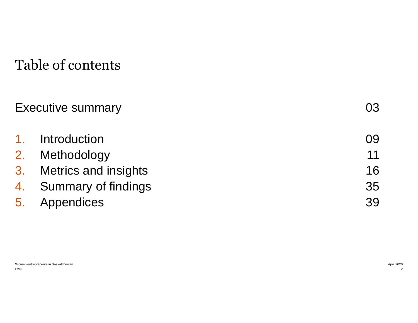## Table of contents

| <b>Executive summary</b> | 03 |
|--------------------------|----|
| 1. Introduction          | 09 |
| 2. Methodology           | 11 |
| 3. Metrics and insights  | 16 |
| 4. Summary of findings   | 35 |
| 5. Appendices            | 39 |
|                          |    |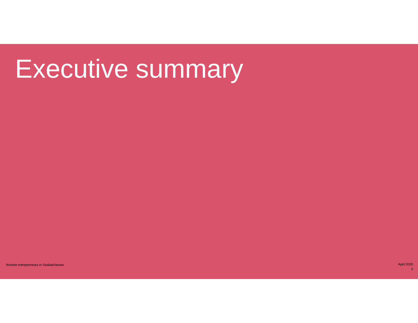# Executive summary

women entrepreneurs in Saskatchewan April 2020 of the control of the control of the control of the control of the control of the control of the control of the control of the control of the control of the control of the con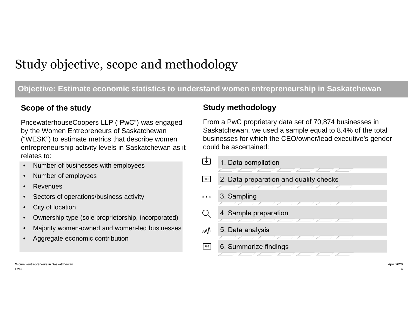### Study objective, scope and methodology

### **Objective: Estimate economic statistics to understand women entrepreneurship in Saskatchewan**

PricewaterhouseCoopers LLP ("PwC") was engaged by the Women Entrepreneurs of Saskatchewan ("WESK") to estimate metrics that describe women entrepreneurship activity levels in Saskatchewan as it relates to:

- Number of businesses with employees
- Number of employees
- **Revenues**
- Sectors of operations/business activity
- City of location
- Ownership type (sole proprietorship, incorporated)
- Majority women-owned and women-led businesses
- Aggregate economic contribution

### **Scope of the study and study study study methodology**

From a PwC proprietary data set of 70,874 businesses in Saskatchewan, we used a sample equal to 8.4% of the total businesses for which the CEO/owner/lead executive's gender could be ascertained:



PwC Women entrepreneurs in Saskatchewan April 2020 April 2020 April 2020 April 2020 April 2020 April 2020 April 2020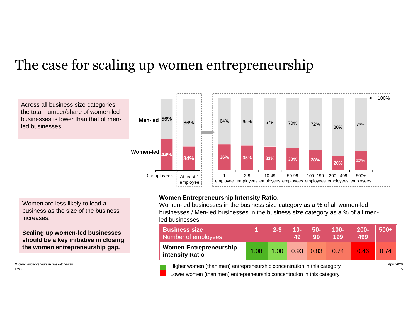## The case for scaling up women entrepreneurship

Across all business size categories, the total number/share of women-led businesses is lower than that of menled businesses.



Women are less likely to lead a business as the size of the business increases.

**Scaling up women-led businesses should be a key initiative in closing the women entrepreneurship gap.**

PwC

#### **Women Entrepreneurship Intensity Ratio:**

Women-led businesses in the business size category as a % of all women-led businesses / Men-led businesses in the business size category as a % of all menled businesses

| <b>Business size</b><br>Number of employees      |      | $2 - 9$ | $10-$<br>49.      | $50-$<br>99 | $100 -$<br>199 | $200 -$<br>499 | $500+$ |
|--------------------------------------------------|------|---------|-------------------|-------------|----------------|----------------|--------|
| <b>Women Entrepreneurship</b><br>intensity Ratio | 1.08 | 1.00    | $0.93 \quad 0.83$ |             | 0.74           | 0.46           | 0.74   |

Women entrepreneurs in Saskatchewan **April 2020** April 2020 April 2020 Lower women (than men) entrepreneurship concentration in this category

5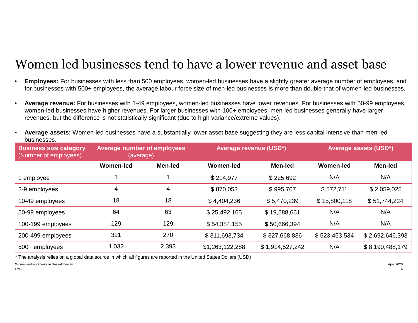### Women led businesses tend to have a lower revenue and asset base

- **Employees:** For businesses with less than 500 employees, women-led businesses have a slightly greater average number of employees, and for businesses with 500+ employees, the average labour force size of men-led businesses is more than double that of women-led businesses.
- **Average revenue:** For businesses with 1-49 employees, women-led businesses have lower revenues. For businesses with 50-99 employees, women-led businesses have higher revenues. For larger businesses with 100+ employees, men-led businesses generally have larger revenues, but the difference is not statistically significant (due to high variance/extreme values).
- **Average assets:** Women-led businesses have a substantially lower asset base suggesting they are less capital intensive than men-led businesses.

| <b>Business size category</b><br>(Number of employees) | <b>Average number of employees</b><br>(average) |         | <b>Average revenue (USD*)</b> |                 | <b>Average assets (USD*)</b> |                 |
|--------------------------------------------------------|-------------------------------------------------|---------|-------------------------------|-----------------|------------------------------|-----------------|
|                                                        | <b>Women-led</b>                                | Men-led | Women-led                     | <b>Men-led</b>  | <b>Women-led</b>             | Men-led         |
| employee                                               |                                                 |         | \$214,977                     | \$225,692       | N/A                          | N/A             |
| 2-9 employees                                          | 4                                               | 4       | \$870,053                     | \$995,707       | \$572,711                    | \$2,059,025     |
| 10-49 employees                                        | 18                                              | 18      | \$4,404,236                   | \$5,470,239     | \$15,800,118                 | \$51,744,224    |
| 50-99 employees                                        | 64                                              | 63      | \$25,492,165                  | \$19,588,661    | N/A                          | N/A             |
| 100-199 employees                                      | 129                                             | 129     | \$54,384,155                  | \$50,666,394    | N/A                          | N/A             |
| 200-499 employees                                      | 321                                             | 270     | \$311,693,734                 | \$327,668,836   | \$523,453,534                | \$2,692,646,393 |
| 500+ employees                                         | 1,032                                           | 2,393   | \$1,263,122,288               | \$1,914,527,242 | N/A                          | \$8,190,488,179 |

\* The analysis relies on a global data source in which all figures are reported in the United States Dollars (USD)

Women entrepreneurs in Saskatchewan **April 2020** April 2020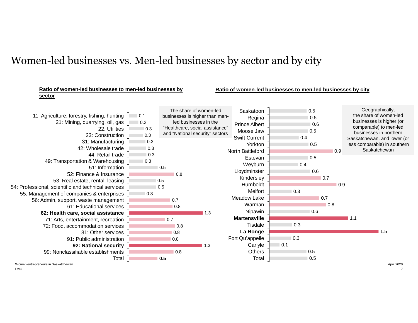### Women-led businesses vs. Men-led businesses by sector and by city

#### $0.1$  $0.2$  $0.3$  $\Box$  0.3 0.3 0.3 0.3  $\Box$  0.3 0.5 0.8 0.5 0.5  $\overline{0.3}$ 0.7 0.8 1.3 0.7 0.8 0.8 0.8  $\blacksquare$  1.3 0.8 **0.5** 21: Mining, quarrying, oil, gas 22: Utilities 55: Management of companies & enterprises 11: Agriculture, forestry, fishing, hunting 42: Wholesale trade 23: Construction 31: Manufacturing 49: Transportation & Warehousing 44: Retail trade 51: Information **62: Health care, social assistance** 61: Educational services 52: Finance & Insurance **92: National security** 53: Real estate, rental, leasing 54: Professional, scientific and technical services 56: Admin, support, waste management 71: Arts, entertainment, recreation 72: Food, accommodation services 81: Other services 91: Public administration Total 99: Nonclassifiable establishments **Ratio of women-led businesses to men-led businesses by sector** 0.5 0.5 0.6 0.5 0.4 0.5 0.9  $0.5$  $0.4$ 0.6 0.7  $\Box$ 0.9  $\Box$  0.3  $0.7$ 0.8 0.6  $\blacksquare$  1.1  $\Box$  0.3 1.5 0.3  $10.1$ 0.5 0.5 Saskatoon Regina Estevan North Battleford Prince Albert Moose Jaw Yorkton Swift Current Weyburn Lloydminster Kindersley **Tisdale** Humboldt Melfort Meadow Lake Warman Nipawin Fort Qu'appelle **Martensville La Ronge Carlyle Others** Total **Ratio of women-led businesses to men-led businesses by city** Geographically, the share of women-led businesses is higher (or comparable) to men-led businesses in northern Saskatchewan, and lower (or less comparable) in southern **Saskatchewan** The share of women-led businesses is higher than menled businesses in the "Healthcare, social assistance" and "National security" sectors

PwC Women entrepreneurs in Saskatchewan **April 2020** April 2020

7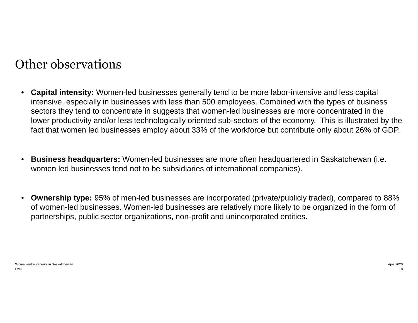### Other observations

- **Capital intensity:** Women-led businesses generally tend to be more labor-intensive and less capital intensive, especially in businesses with less than 500 employees. Combined with the types of business sectors they tend to concentrate in suggests that women-led businesses are more concentrated in the lower productivity and/or less technologically oriented sub-sectors of the economy. This is illustrated by the fact that women led businesses employ about 33% of the workforce but contribute only about 26% of GDP.
- **Business headquarters:** Women-led businesses are more often headquartered in Saskatchewan (i.e. women led businesses tend not to be subsidiaries of international companies).
- **Ownership type:** 95% of men-led businesses are incorporated (private/publicly traded), compared to 88% of women-led businesses. Women-led businesses are relatively more likely to be organized in the form of partnerships, public sector organizations, non-profit and unincorporated entities.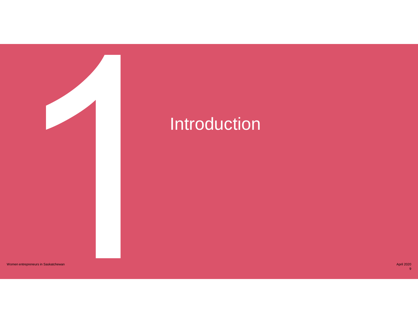

# **Introduction**

Women entrepreneurs in Saskatchewan

April 2020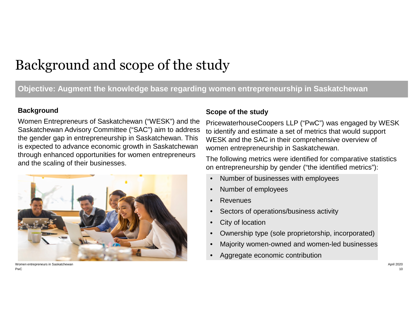# Background and scope of the study

### **Objective: Augment the knowledge base regarding women entrepreneurship in Saskatchewan**

#### **Background**

Women Entrepreneurs of Saskatchewan ("WESK") and the Saskatchewan Advisory Committee ("SAC") aim to address the gender gap in entrepreneurship in Saskatchewan. This is expected to advance economic growth in Saskatchewan through enhanced opportunities for women entrepreneurs and the scaling of their businesses.



PwC Women entrepreneurs in Saskatchewan April 2020

#### **Scope of the study**

PricewaterhouseCoopers LLP ("PwC") was engaged by WESK to identify and estimate a set of metrics that would support WESK and the SAC in their comprehensive overview of women entrepreneurship in Saskatchewan.

The following metrics were identified for comparative statistics on entrepreneurship by gender ("the identified metrics"):

- Number of businesses with employees
- Number of employees
- **Revenues**
- Sectors of operations/business activity
- City of location
- Ownership type (sole proprietorship, incorporated)
- Majority women-owned and women-led businesses
- Aggregate economic contribution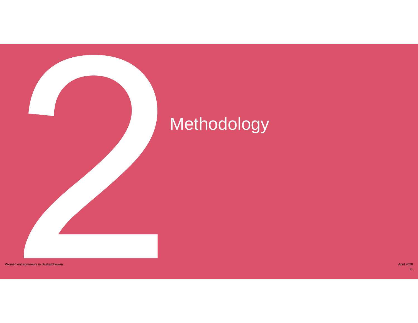# **Methodology**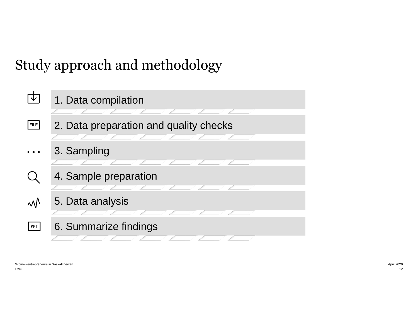# Study approach and methodology

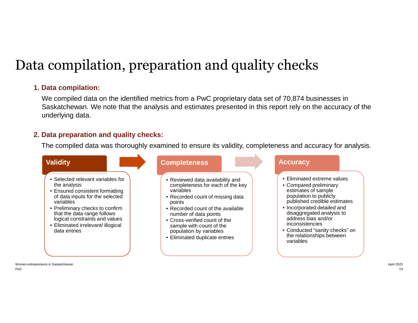# Data compilation, preparation and quality checks

#### **1. Data compilation:**

We compiled data on the identified metrics from a PwC proprietary data set of 70,874 businesses in Saskatchewan. We note that the analysis and estimates presented in this report rely on the accuracy of the underlying data.

#### **2. Data preparation and quality checks:**

The compiled data was thoroughly examined to ensure its validity, completeness and accuracy for analysis.

#### **Validity**

- Selected relevant variables for the analysis
- Ensured consistent formatting of data inputs for the selected variables
- Preliminary checks to confirm that the data range follows logical constraints and values
- Eliminated irrelevant/ illogical data entries

#### **Completeness**

- Reviewed data availability and completeness for each of the key variables
- Recorded count of missing data points
- Recorded count of the available number of data points
- Cross-verified count of the sample with count of the population by variables
- Eliminated duplicate entries

#### **Accuracy**

- Eliminated extreme values
- Compared preliminary estimates of sample population to publicly published credible estimates
- Incorporated detailed and disaggregated analysis to address bias and/or inconsistencies
- Conducted "sanity checks" on the relationships between variables

PwC Women entrepreneurs in Saskatchewan April 2020 April 2020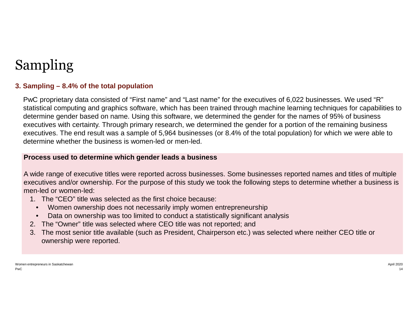# Sampling

### **3. Sampling – 8.4% of the total population**

PwC proprietary data consisted of "First name" and "Last name" for the executives of 6,022 businesses. We used "R" statistical computing and graphics software, which has been trained through machine learning techniques for capabilities to determine gender based on name. Using this software, we determined the gender for the names of 95% of business executives with certainty. Through primary research, we determined the gender for a portion of the remaining business executives. The end result was a sample of 5,964 businesses (or 8.4% of the total population) for which we were able to determine whether the business is women-led or men-led.

#### **Process used to determine which gender leads a business**

A wide range of executive titles were reported across businesses. Some businesses reported names and titles of multiple executives and/or ownership. For the purpose of this study we took the following steps to determine whether a business is men-led or women-led:

- 1. The "CEO" title was selected as the first choice because:
	- Women ownership does not necessarily imply women entrepreneurship
- Data on ownership was too limited to conduct a statistically significant analysis
- 2. The "Owner" title was selected where CEO title was not reported; and
- 3. The most senior title available (such as President, Chairperson etc.) was selected where neither CEO title or ownership were reported.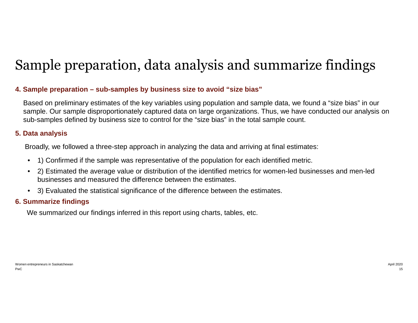# Sample preparation, data analysis and summarize findings

#### **4. Sample preparation – sub-samples by business size to avoid "size bias"**

Based on preliminary estimates of the key variables using population and sample data, we found a "size bias" in our sample. Our sample disproportionately captured data on large organizations. Thus, we have conducted our analysis on sub-samples defined by business size to control for the "size bias" in the total sample count.

#### **5. Data analysis**

Broadly, we followed a three-step approach in analyzing the data and arriving at final estimates:

- 1) Confirmed if the sample was representative of the population for each identified metric.
- 2) Estimated the average value or distribution of the identified metrics for women-led businesses and men-led businesses and measured the difference between the estimates.
- 3) Evaluated the statistical significance of the difference between the estimates.

#### **6. Summarize findings**

We summarized our findings inferred in this report using charts, tables, etc.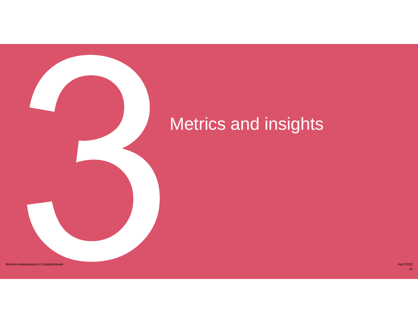

Women entrepreneurs in Saskatchewan April 2020 April 2020 April 2020 April 2020 April 2020 April 2020 April 2020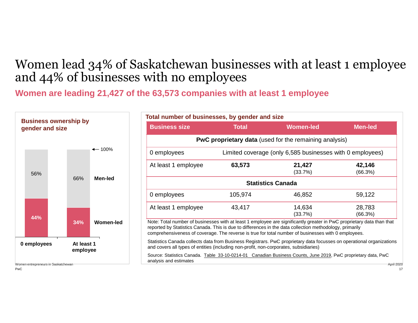### Women lead 34% of Saskatchewan businesses with at least 1 employee and 44% of businesses with no employees

**Women are leading 21,427 of the 63,573 companies with at least 1 employee**



| Total number of businesses, by gender and size                                        |              |                                                                                                                                                                                                                                                                                                                                         |                   |  |  |  |
|---------------------------------------------------------------------------------------|--------------|-----------------------------------------------------------------------------------------------------------------------------------------------------------------------------------------------------------------------------------------------------------------------------------------------------------------------------------------|-------------------|--|--|--|
| <b>Business size</b>                                                                  | <b>Total</b> | <b>Women-led</b>                                                                                                                                                                                                                                                                                                                        | <b>Men-led</b>    |  |  |  |
|                                                                                       |              | <b>PwC proprietary data</b> (used for the remaining analysis)                                                                                                                                                                                                                                                                           |                   |  |  |  |
| Limited coverage (only 6,585 businesses with 0 employees)<br>0 employees              |              |                                                                                                                                                                                                                                                                                                                                         |                   |  |  |  |
| At least 1 employee                                                                   | 63,573       | 21,427<br>(33.7%)                                                                                                                                                                                                                                                                                                                       | 42,146<br>(66.3%) |  |  |  |
|                                                                                       |              | <b>Statistics Canada</b>                                                                                                                                                                                                                                                                                                                |                   |  |  |  |
| 0 employees                                                                           | 105,974      | 46,852                                                                                                                                                                                                                                                                                                                                  | 59,122            |  |  |  |
| At least 1 employee                                                                   | 43,417       | 14,634<br>(33.7%)                                                                                                                                                                                                                                                                                                                       | 28,783<br>(66.3%) |  |  |  |
|                                                                                       |              | Note: Total number of businesses with at least 1 employee are significantly greater in PwC proprietary data than that<br>reported by Statistics Canada. This is due to differences in the data collection methodology, primarily<br>comprehensiveness of coverage. The reverse is true for total number of businesses with 0 employees. |                   |  |  |  |
| and covers all types of entities (including non-profit, non-corporates, subsidiaries) |              | Statistics Canada collects data from Business Registrars. PwC proprietary data focusses on operational organizations                                                                                                                                                                                                                    |                   |  |  |  |
| analysis and estimates                                                                |              | Source: Statistics Canada. Table 33-10-0214-01 Canadian Business Counts, June 2019, PwC proprietary data, PwC                                                                                                                                                                                                                           | <b>April 2020</b> |  |  |  |

PwC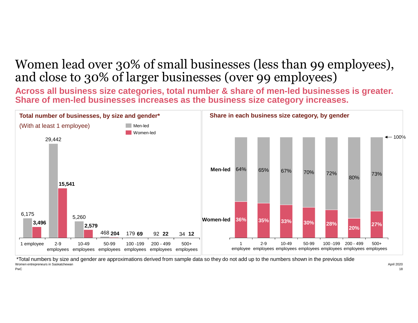### Women lead over 30% of small businesses (less than 99 employees), and close to 30% of larger businesses (over 99 employees)

**Across all business size categories, total number & share of men-led businesses is greater. Share of men-led businesses increases as the business size category increases.**



PwC Women entrepreneurs in Saskatchewan April 2020 April 2020 \*Total numbers by size and gender are approximations derived from sample data so they do not add up to the numbers shown in the previous slide

18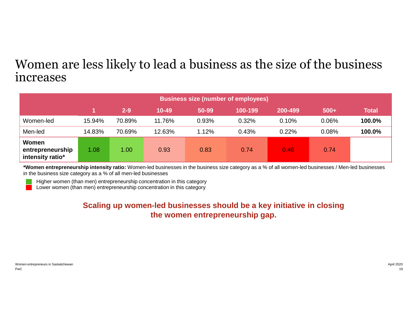### Women are less likely to lead a business as the size of the business increases

|                                               | <b>Business size (number of employees)</b> |         |           |       |         |         |        |              |
|-----------------------------------------------|--------------------------------------------|---------|-----------|-------|---------|---------|--------|--------------|
|                                               |                                            | $2 - 9$ | $10 - 49$ | 50-99 | 100-199 | 200-499 | $500+$ | <b>Total</b> |
| Women-led                                     | 15.94%                                     | 70.89%  | 11.76%    | 0.93% | 0.32%   | 0.10%   | 0.06%  | 100.0%       |
| Men-led                                       | 14.83%                                     | 70.69%  | 12.63%    | 1.12% | 0.43%   | 0.22%   | 0.08%  | 100.0%       |
| Women<br>entrepreneurship<br>intensity ratio* | 1.08                                       | 1.00    | 0.93      | 0.83  | 0.74    | 0.46    | 0.74   |              |

**\*Women entrepreneurship intensity ratio:** Women-led businesses in the business size category as a % of all women-led businesses / Men-led businesses in the business size category as a % of all men-led businesses

Higher women (than men) entrepreneurship concentration in this category

Lower women (than men) entrepreneurship concentration in this category

### **Scaling up women-led businesses should be a key initiative in closing the women entrepreneurship gap.**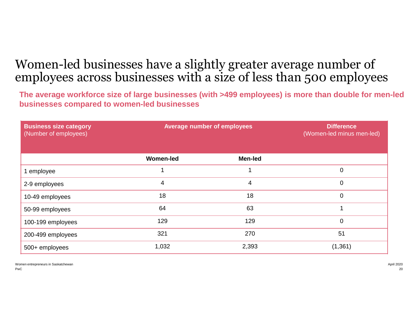### Women-led businesses have a slightly greater average number of employees across businesses with a size of less than 500 employees

**The average workforce size of large businesses (with >499 employees) is more than double for men-led businesses compared to women-led businesses** 

| <b>Business size category</b><br>(Number of employees) | <b>Average number of employees</b> |                | <b>Difference</b><br>(Women-led minus men-led) |
|--------------------------------------------------------|------------------------------------|----------------|------------------------------------------------|
|                                                        | <b>Women-led</b>                   | <b>Men-led</b> |                                                |
| 1 employee                                             |                                    | 1              | 0                                              |
| 2-9 employees                                          | 4                                  | 4              | $\mathbf 0$                                    |
| 10-49 employees                                        | 18                                 | 18             | 0                                              |
| 50-99 employees                                        | 64                                 | 63             |                                                |
| 100-199 employees                                      | 129                                | 129            | $\overline{0}$                                 |
| 200-499 employees                                      | 321                                | 270            | 51                                             |
| 500+ employees                                         | 1,032                              | 2,393          | (1, 361)                                       |

PwC Women entrepreneurs in Saskatchewan **April 2020** April 2020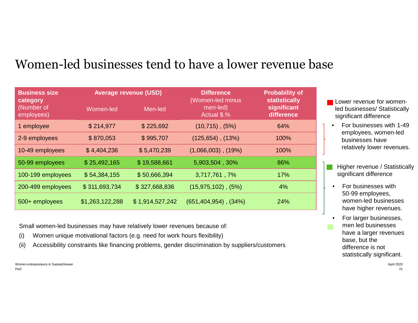### Women-led businesses tend to have a lower revenue base

| <b>Business size</b><br>category |                 | <b>Average revenue (USD)</b> | <b>Difference</b><br>(Women-led minus | <b>Probability of</b><br><b>statistically</b> |  |
|----------------------------------|-----------------|------------------------------|---------------------------------------|-----------------------------------------------|--|
| (Number of<br>employees)         | Women-led       | Men-led                      | men-led)<br>Actual \$,%               | significant<br>difference                     |  |
| 1 employee                       | \$214,977       | \$225,692                    | $(10,715)$ , $(5%)$                   | 64%                                           |  |
| 2-9 employees                    | \$870,053       | \$995,707                    | $(125,654)$ , $(13%)$                 | 100%                                          |  |
| 10-49 employees                  | \$4,404,236     | \$5,470,239                  | $(1,066,003)$ , $(19%)$               | 100%                                          |  |
| 50-99 employees                  | \$25,492,165    | \$19,588,661                 | 5,903,504, 30%                        | 86%                                           |  |
| 100-199 employees                | \$54,384,155    | \$50,666,394                 | 3,717,761,7%                          | 17%                                           |  |
| 200-499 employees                | \$311,693,734   | \$327,668,836                | $(15,975,102)$ , $(5%)$               | 4%                                            |  |
| 500+ employees                   | \$1,263,122,288 | \$1,914,527,242              | $(651, 404, 954)$ , $(34\%)$          | 24%                                           |  |

Small women-led businesses may have relatively lower revenues because of:

- (i) Women unique motivational factors (e.g. need for work hours flexibility)
- (ii) Accessibility constraints like financing problems, gender discrimination by suppliers/customers

PwC Women entrepreneurs in Saskatchewan April 2020 April 2020

- **Lower revenue for women**led businesses/ Statistically significant difference
- For businesses with 1-49 employees, women-led businesses have relatively lower revenues.
- Higher revenue / Statistically significant difference
- For businesses with 50-99 employees, women-led businesses have higher revenues.
- For larger businesses, men led businesses have a larger revenues base, but the difference is not statistically significant.

21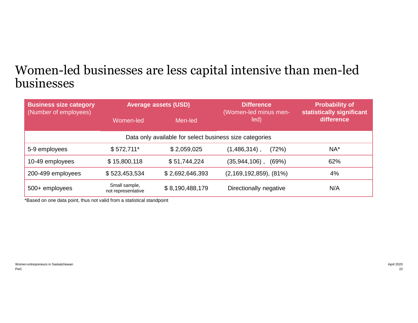### Women-led businesses are less capital intensive than men-led businesses

| <b>Business size category</b><br>(Number of employees)  |                                     | <b>Average assets (USD)</b> | <b>Difference</b><br>(Women-led minus men- | <b>Probability of</b><br>statistically significant<br>difference |  |  |  |
|---------------------------------------------------------|-------------------------------------|-----------------------------|--------------------------------------------|------------------------------------------------------------------|--|--|--|
|                                                         | Women-led                           | Men-led                     | led)                                       |                                                                  |  |  |  |
| Data only available for select business size categories |                                     |                             |                                            |                                                                  |  |  |  |
| 5-9 employees                                           | $$572,711*$                         | \$2,059,025                 | $(1,486,314)$ ,<br>(72%)                   | $NA^*$                                                           |  |  |  |
| 10-49 employees                                         | \$15,800,118                        | \$51,744,224                | $(35,944,106)$ ,<br>(69%)                  | 62%                                                              |  |  |  |
| 200-499 employees                                       | \$523,453,534                       | \$2,692,646,393             | $(2, 169, 192, 859), (81\%)$               | 4%                                                               |  |  |  |
| 500+ employees                                          | Small sample,<br>not representative | \$8,190,488,179             | Directionally negative                     | N/A                                                              |  |  |  |

\*Based on one data point, thus not valid from a statistical standpoint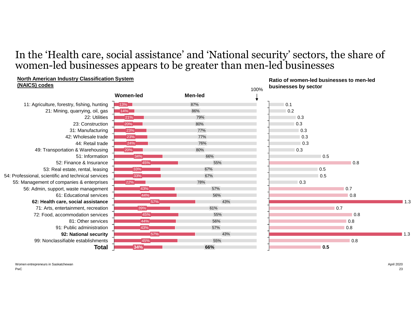### In the 'Health care, social assistance' and 'National security' sectors, the share of women-led businesses appears to be greater than men-led businesses

#### **North American Industry Classification System Ratio of women-led businesses to men-led (NAICS) codes businesses by sector**100% **Women-led Men-led** ╈ 11: Agriculture, forestry, fishing, hunting  $13\%$ 87% 0.1 21: Mining, quarrying, oil, gas  $14%$ 86% 0.2 22: Utilities 79% 0.3  $21%$ 23: Construction 0.3 20% 80% and 20% and 20% and 20% and 20% and 20% and 20% and 20% and 20% and 20% and 20% and 20% and 20% and 20 31: Manufacturing **23%** 77% 0.3 42: Wholesale trade 77% 0.3 23% 44: Retail trade 24% 76%  $\Box$  0.3 80% 0.3 49: Transportation & Warehousing  $20\%$ 51: Information 0.5 34% 66% 52: Finance & Insurance 45% 55% 0.8 53: Real estate, rental, leasing 33% 67% 0.5 54: Professional, scientific and technical services 0.5 33% 67% 55: Management of companies & enterprises 78% 0.3  $"22\%"$ 0.7 56: Admin, support, waste management 43% 57% 61: Educational services  $\Box$  0.8 44% 56% **62: Health care, social assistance** 57% 43% ■ 1.3 61% 0.7 71: Arts, entertainment, recreation 39% 72: Food, accommodation services 45% 55% 0.8 81: Other services 44% 56% 0.8 91: Public administration 57% 0.8 43% **92: National security** 57% 43%  $1.3$ 99: Nonclassifiable establishments 45% 55% 0.8 **0.5 Total 34% 66%**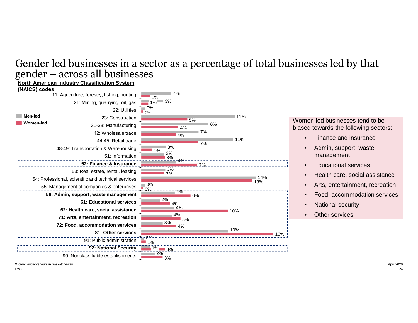### Gender led businesses in a sector as a percentage of total businesses led by that gender – across all businesses



Women entrepreneurs in Saskatchewan April 2020 April 2020

PwC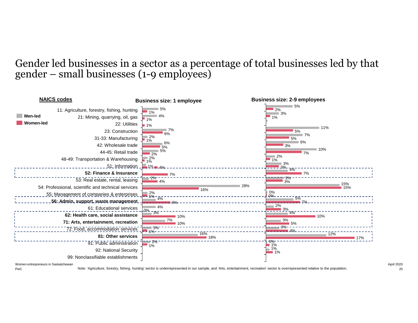### Gender led businesses in a sector as a percentage of total businesses led by that gender – small businesses (1-9 employees)



Women entrepreneurs in Saskatchewan **April 2020** April 2020

PwC

Note: 'Agriculture, forestry, fishing, hunting' sector is underrepresented in our sample, and 'Arts, entertainment, recreation' sector is overrepresented relative to the population.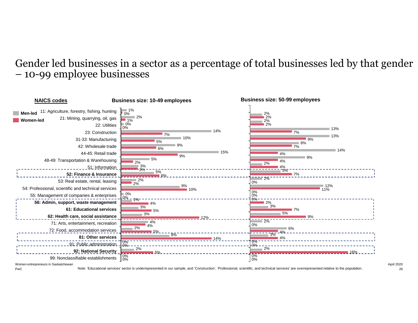### Gender led businesses in a sector as a percentage of total businesses led by that gender – 10-99 employee businesses



PwC Women entrepreneurs in Saskatchewan April 2020 April 2020

Note: 'Educational services' sector is underrepresented in our sample, and 'Construction', 'Professional, scientific, and technical services' are overrepresented relative to the population.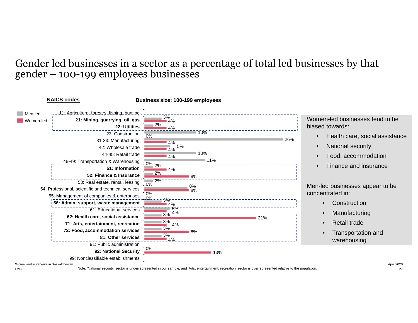### Gender led businesses in a sector as a percentage of total led businesses by that gender – 100-199 employees businesses



Women entrepreneurs in Saskatchewan April 2020 April 2020

Note: 'National security' sector is underrepresented in our sample, and 'Arts, entertainment, recreation' sector is overrepresented relative to the population.

PwC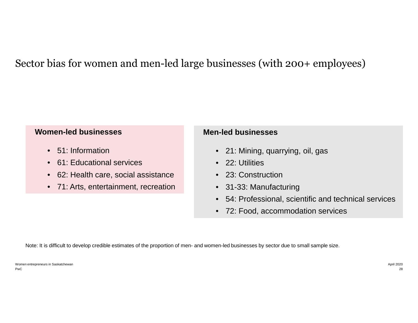### Sector bias for women and men-led large businesses (with 200+ employees)

#### **Women-led businesses**

- 51: Information
- 61: Educational services
- 62: Health care, social assistance
- 71: Arts, entertainment, recreation

#### **Men-led businesses**

- 21: Mining, quarrying, oil, gas
- 22: Utilities
- 23: Construction
- 31-33: Manufacturing
- 54: Professional, scientific and technical services
- 72: Food, accommodation services

Note: It is difficult to develop credible estimates of the proportion of men- and women-led businesses by sector due to small sample size.

PwC Women entrepreneurs in Saskatchewan April 2020 April 2020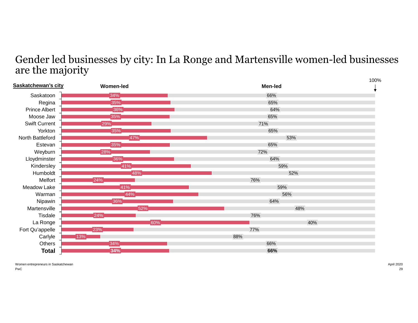### Gender led businesses by city: In La Ronge and Martensville women-led businesses are the majority

| Saskatchewan's city  | <b>Women-led</b> | 100%<br><b>Men-led</b> |  |
|----------------------|------------------|------------------------|--|
| Saskatoon            | 34%              | 66%                    |  |
| Regina               | 35%              | 65%                    |  |
| <b>Prince Albert</b> | 36%              | 64%                    |  |
| Moose Jaw            | 35%              | 65%                    |  |
| <b>Swift Current</b> | 29%              | 71%                    |  |
| Yorkton              | 35%              | 65%                    |  |
| North Battleford     | 47%              | 53%                    |  |
| Estevan              | $35\%$           | 65%                    |  |
| Weyburn              | 28%              | 72%                    |  |
| Lloydminster         | $36\%$           | 64%                    |  |
| Kindersley           | 41%              | 59%                    |  |
| Humboldt             | 48%              | 52%                    |  |
| Melfort              | 24%              | 76%                    |  |
| Meadow Lake          | 41%              | 59%                    |  |
| Warman               | 44%              | 56%                    |  |
| Nipawin              | 36%              | 64%                    |  |
| Martensville         | 52%              | 48%                    |  |
| Tisdale              | 24%              | 76%                    |  |
| La Ronge             | 60%              | 40%                    |  |
| Fort Qu'appelle      | 23%              | 77%                    |  |
| Carlyle              | 13%              | 88%                    |  |
| Others               | 34%              | 66%                    |  |
| <b>Total</b>         | 34%              | 66%                    |  |

PwC Women entrepreneurs in Saskatchewan April 2020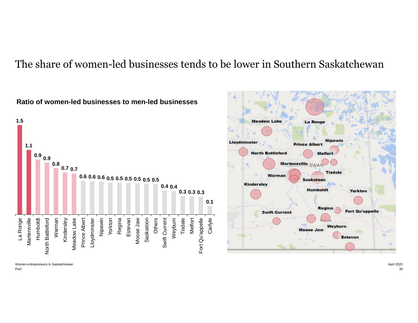### The share of women-led businesses tends to be lower in Southern Saskatchewan



**Ratio of women-led businesses to men-led businesses**

Women entrepreneurs in Saskatchewan April 2020 April 2020

PwC

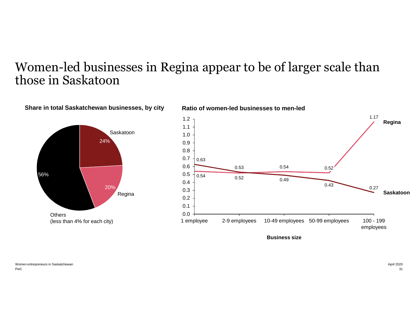### Women-led businesses in Regina appear to be of larger scale than those in Saskatoon

**Ratio of women-led businesses to men-led** 



**Share in total Saskatchewan businesses, by city** 



**Business size**

PwC Women entrepreneurs in Saskatchewan April 2020 April 2020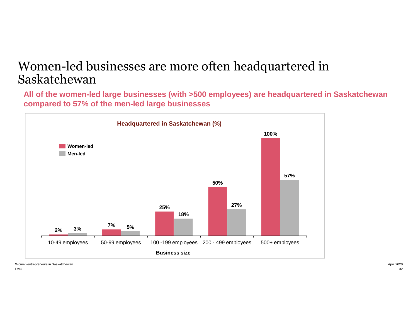### Women-led businesses are more often headquartered in Saskatchewan

**All of the women-led large businesses (with >500 employees) are headquartered in Saskatchewan compared to 57% of the men-led large businesses**



PwC Women entrepreneurs in Saskatchewan April 2020 April 2020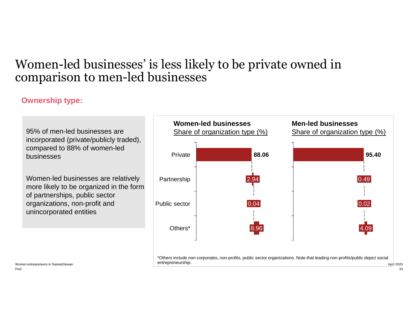### Women-led businesses' is less likely to be private owned in comparison to men-led businesses

### **Ownership type:**

95% of men-led businesses are incorporated (private/publicly traded), compared to 88% of women-led businesses

Women-led businesses are relatively more likely to be organized in the form of partnerships, public sector organizations, non-profit and unincorporated entities

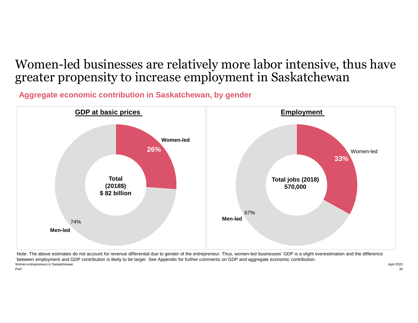### Women-led businesses are relatively more labor intensive, thus have greater propensity to increase employment in Saskatchewan

**Aggregate economic contribution in Saskatchewan, by gender**



PwC Women entrepreneurs in Saskatchewan **April 2020** April 2020 Note: The above estimates do not account for revenue differential due to gender of the entrepreneur. Thus, women-led businesses' GDP is a slight overestimation and the difference between employment and GDP contribution is likely to be larger. See Appendix for further comments on GDP and aggregate economic contribution.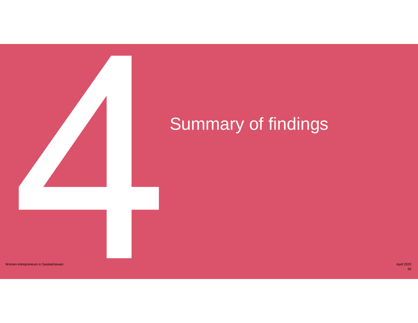

# Summary of findings

Women entrepreneurs in Saskatchewan April 2020 April 2020 Control and the control of the control of the control of the control of the control of the control of the control of the control of the control of the control of th

35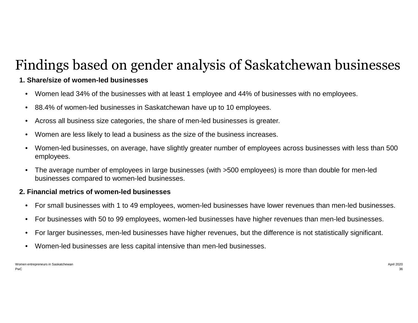# Findings based on gender analysis of Saskatchewan businesses

### **1. Share/size of women-led businesses**

- Women lead 34% of the businesses with at least 1 employee and 44% of businesses with no employees.
- 88.4% of women-led businesses in Saskatchewan have up to 10 employees.
- Across all business size categories, the share of men-led businesses is greater.
- Women are less likely to lead a business as the size of the business increases.
- Women-led businesses, on average, have slightly greater number of employees across businesses with less than 500 employees.
- The average number of employees in large businesses (with >500 employees) is more than double for men-led businesses compared to women-led businesses.

#### **2. Financial metrics of women-led businesses**

- For small businesses with 1 to 49 employees, women-led businesses have lower revenues than men-led businesses.
- For businesses with 50 to 99 employees, women-led businesses have higher revenues than men-led businesses.
- For larger businesses, men-led businesses have higher revenues, but the difference is not statistically significant.
- Women-led businesses are less capital intensive than men-led businesses.

PwC Women entrepreneurs in Saskatchewan April 2020 April 2020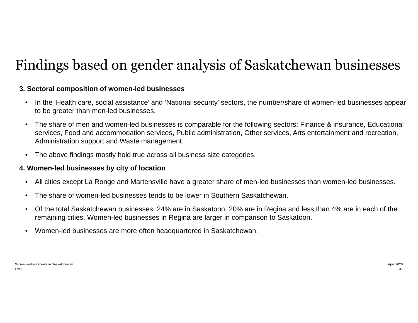# Findings based on gender analysis of Saskatchewan businesses

#### **3. Sectoral composition of women-led businesses**

- In the 'Health care, social assistance' and 'National security' sectors, the number/share of women-led businesses appear to be greater than men-led businesses.
- The share of men and women-led businesses is comparable for the following sectors: Finance & insurance, Educational services, Food and accommodation services, Public administration, Other services, Arts entertainment and recreation, Administration support and Waste management.
- The above findings mostly hold true across all business size categories.

#### **4. Women-led businesses by city of location**

- All cities except La Ronge and Martensville have a greater share of men-led businesses than women-led businesses.
- The share of women-led businesses tends to be lower in Southern Saskatchewan.
- Of the total Saskatchewan businesses, 24% are in Saskatoon, 20% are in Regina and less than 4% are in each of the remaining cities. Women-led businesses in Regina are larger in comparison to Saskatoon.
- Women-led businesses are more often headquartered in Saskatchewan.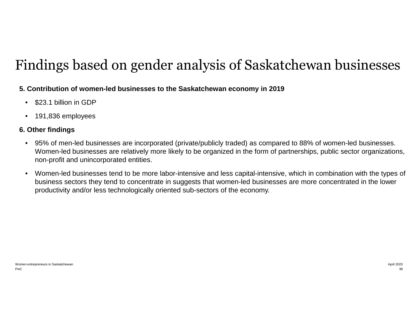# Findings based on gender analysis of Saskatchewan businesses

### **5. Contribution of women-led businesses to the Saskatchewan economy in 2019**

- \$23.1 billion in GDP
- 191,836 employees

### **6. Other findings**

- 95% of men-led businesses are incorporated (private/publicly traded) as compared to 88% of women-led businesses. Women-led businesses are relatively more likely to be organized in the form of partnerships, public sector organizations, non-profit and unincorporated entities.
- Women-led businesses tend to be more labor-intensive and less capital-intensive, which in combination with the types of business sectors they tend to concentrate in suggests that women-led businesses are more concentrated in the lower productivity and/or less technologically oriented sub-sectors of the economy.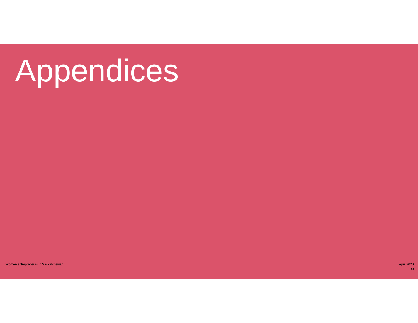# Appendices

women entrepreneurs in Saskatchewan April 2020 of the state of the state of the state of the state of the state of the state of the state of the state of the state of the state of the state of the state of the state of the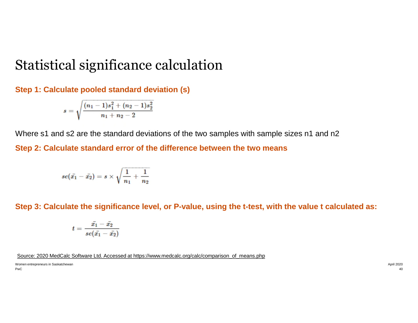### Statistical significance calculation

**Step 1: Calculate pooled standard deviation (s)**

$$
s=\sqrt{\frac{(n_1-1)s_1^2+(n_2-1)s_2^2}{n_1+n_2-2}}
$$

Where s1 and s2 are the standard deviations of the two samples with sample sizes n1 and n2

**Step 2: Calculate standard error of the difference between the two means**

$$
se(\bar{x_1}-\bar{x_2})=s\times\sqrt{\frac{1}{n_1}+\frac{1}{n_2}}
$$

**Step 3: Calculate the significance level, or P-value, using the t-test, with the value t calculated as:**

$$
t=\frac{\bar{x_1}-\bar{x_2}}{se(\bar{x_1}-\bar{x_2})}
$$

Source: 2020 MedCalc Software Ltd. Accessed at https://www.medcalc.org/calc/comparison\_of\_means.php

PwC Women entrepreneurs in Saskatchewan April 2020 April 2020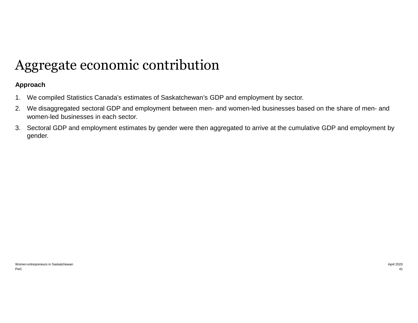## Aggregate economic contribution

#### **Approach**

- 1. We compiled Statistics Canada's estimates of Saskatchewan's GDP and employment by sector.
- 2. We disaggregated sectoral GDP and employment between men- and women-led businesses based on the share of men- and women-led businesses in each sector.
- 3. Sectoral GDP and employment estimates by gender were then aggregated to arrive at the cumulative GDP and employment by gender.